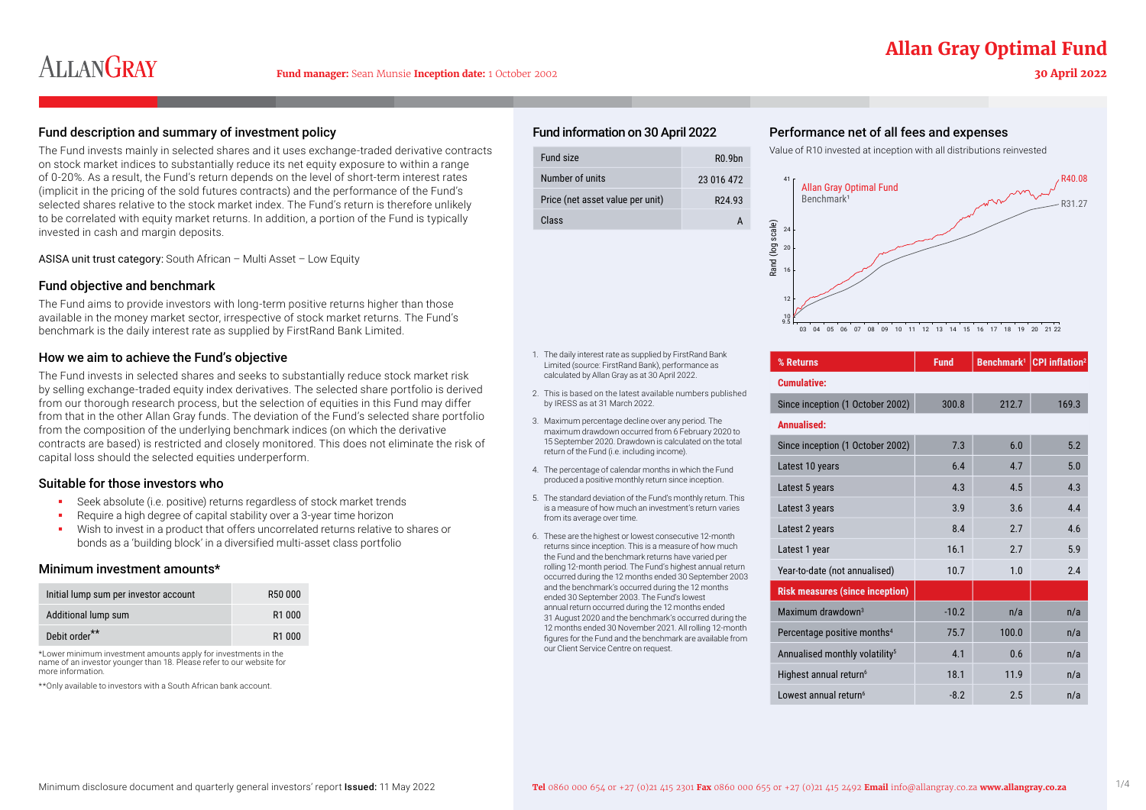## **Allan Gray Optimal Fund**

### **30 April 2022**

#### Fund description and summary of investment policy expenses expenses and expenses Performance net of all fees and expenses

The Fund invests mainly in selected shares and it uses exchange-traded derivative contracts on stock market indices to substantially reduce its net equity exposure to within a range of 0-20%. As a result, the Fund's return depends on the level of short-term interest rates (implicit in the pricing of the sold futures contracts) and the performance of the Fund's selected shares relative to the stock market index. The Fund's return is therefore unlikely to be correlated with equity market returns. In addition, a portion of the Fund is typically invested in cash and margin deposits.

ASISA unit trust category: South African – Multi Asset – Low Equity

#### Fund objective and benchmark

The Fund aims to provide investors with long-term positive returns higher than those available in the money market sector, irrespective of stock market returns. The Fund's benchmark is the daily interest rate as supplied by FirstRand Bank Limited.

#### How we aim to achieve the Fund's objective

The Fund invests in selected shares and seeks to substantially reduce stock market risk by selling exchange-traded equity index derivatives. The selected share portfolio is derived from our thorough research process, but the selection of equities in this Fund may differ from that in the other Allan Gray funds. The deviation of the Fund's selected share portfolio from the composition of the underlying benchmark indices (on which the derivative contracts are based) is restricted and closely monitored. This does not eliminate the risk of capital loss should the selected equities underperform.

#### Suitable for those investors who

- Seek absolute (i.e. positive) returns regardless of stock market trends
- Require a high degree of capital stability over a 3-year time horizon
- Wish to invest in a product that offers uncorrelated returns relative to shares or bonds as a 'building block' in a diversified multi-asset class portfolio

#### Minimum investment amounts\*

| Initial lump sum per investor account | R50 000            |
|---------------------------------------|--------------------|
| Additional lump sum                   | R <sub>1</sub> 000 |
| Debit order**                         | R <sub>1</sub> 000 |

\*Lower minimum investment amounts apply for investments in the name of an investor younger than 18. Please refer to our website for more information.

\*\*Only available to investors with a South African bank account.

#### Fund information on 30 April 2022

| Fund size                        | R <sub>0</sub> 9 <sub>hn</sub> |
|----------------------------------|--------------------------------|
| Number of units                  | 23 016 472                     |
| Price (net asset value per unit) | R <sub>24</sub> 93             |
| Class                            |                                |

Value of R10 invested at inception with all distributions reinvested



| % Returns                                  | <b>Fund</b> | Benchmark <sup>1</sup> | <b>CPI</b> inflation <sup>2</sup> |
|--------------------------------------------|-------------|------------------------|-----------------------------------|
| <b>Cumulative:</b>                         |             |                        |                                   |
| Since inception (1 October 2002)           | 300.8       | 212.7                  | 169.3                             |
| Annualised:                                |             |                        |                                   |
| Since inception (1 October 2002)           | 7.3         | 6.0                    | 5.2                               |
| Latest 10 years                            | 6.4         | 4.7                    | 5.0                               |
| Latest 5 years                             | 4.3         | 4.5                    | 4.3                               |
| Latest 3 years                             | 3.9         | 3.6                    | 4.4                               |
| Latest 2 years                             | 8.4         | 2.7                    | 4.6                               |
| Latest 1 year                              | 16.1        | 2.7                    | 5.9                               |
| Year-to-date (not annualised)              | 10.7        | 1.0                    | 2.4                               |
| <b>Risk measures (since inception)</b>     |             |                        |                                   |
| Maximum drawdown <sup>3</sup>              | $-10.2$     | n/a                    | n/a                               |
| Percentage positive months <sup>4</sup>    | 75.7        | 100.0                  | n/a                               |
| Annualised monthly volatility <sup>5</sup> | 4.1         | 0.6                    | n/a                               |
| Highest annual return <sup>6</sup>         | 18.1        | 11.9                   | n/a                               |
| Lowest annual return <sup>6</sup>          | $-8.2$      | 2.5                    | n/a                               |

1. The daily interest rate as supplied by FirstRand Bank Limited (source: FirstRand Bank), performance as calculated by Allan Gray as at 30 April 2022.

- 2. This is based on the latest available numbers published by IRESS as at 31 March 2022.
- 3. Maximum percentage decline over any period. The maximum drawdown occurred from 6 February 2020 to 15 September 2020. Drawdown is calculated on the total return of the Fund (i.e. including income).
- 4. The percentage of calendar months in which the Fund produced a positive monthly return since inception.
- 5. The standard deviation of the Fund's monthly return. This is a measure of how much an investment's return varies from its average over time.
- 6. These are the highest or lowest consecutive 12-month returns since inception. This is a measure of how much the Fund and the benchmark returns have varied per rolling 12-month period. The Fund's highest annual return occurred during the 12 months ended 30 September 2003 and the benchmark's occurred during the 12 months ended 30 September 2003. The Fund's lowest annual return occurred during the 12 months ended 31 August 2020 and the benchmark's occurred during the 12 months ended 30 November 2021. All rolling 12-month figures for the Fund and the benchmark are available from our Client Service Centre on request.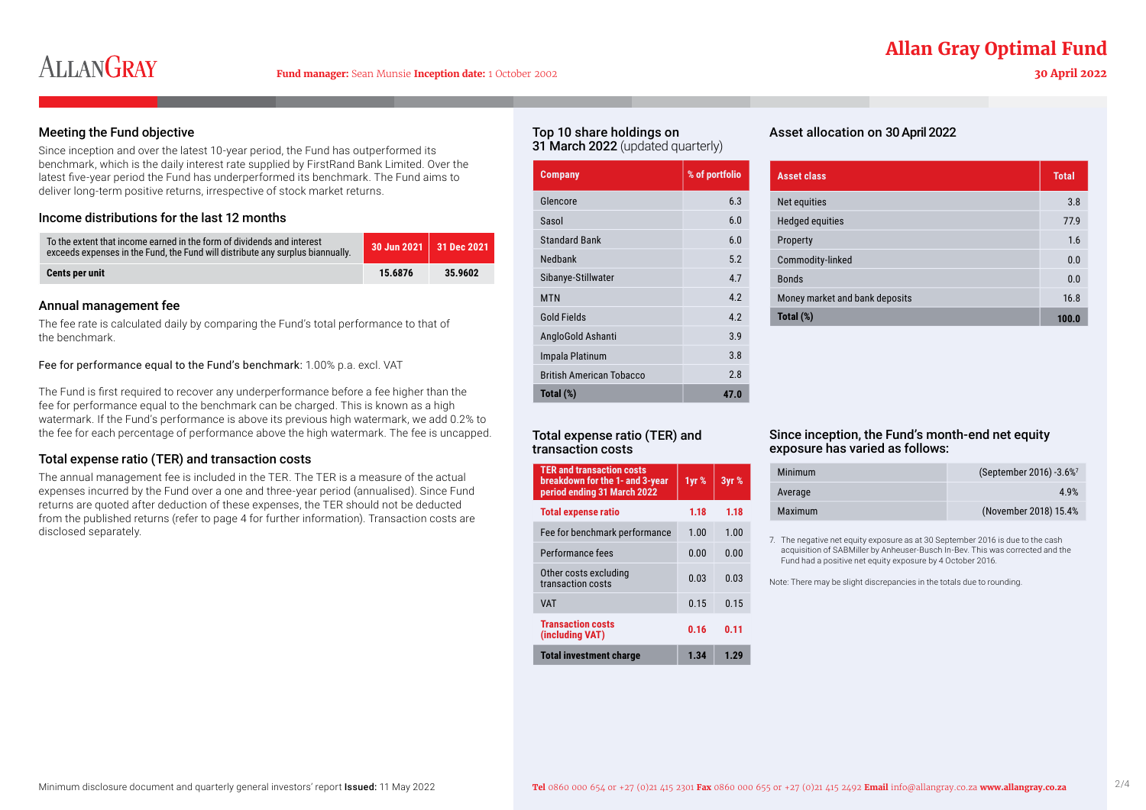### **Allan Gray Optimal Fund**

# **ALLANGRAY**

#### **30 April 2022**

#### Meeting the Fund objective

Since inception and over the latest 10-year period, the Fund has outperformed its benchmark, which is the daily interest rate supplied by FirstRand Bank Limited. Over the latest five-year period the Fund has underperformed its benchmark. The Fund aims to deliver long-term positive returns, irrespective of stock market returns.

#### Income distributions for the last 12 months

| To the extent that income earned in the form of dividends and interest<br>exceeds expenses in the Fund, the Fund will distribute any surplus biannually. | $\,$ 30 Jun 2021 $\,$ 31 Dec 2021 $\,$ |         |
|----------------------------------------------------------------------------------------------------------------------------------------------------------|----------------------------------------|---------|
| <b>Cents per unit</b>                                                                                                                                    | 15.6876                                | 35.9602 |

#### Annual management fee

The fee rate is calculated daily by comparing the Fund's total performance to that of the benchmark.

#### Fee for performance equal to the Fund's benchmark: 1.00% p.a. excl. VAT

The Fund is first required to recover any underperformance before a fee higher than the fee for performance equal to the benchmark can be charged. This is known as a high watermark. If the Fund's performance is above its previous high watermark, we add 0.2% to the fee for each percentage of performance above the high watermark. The fee is uncapped.

#### Total expense ratio (TER) and transaction costs

The annual management fee is included in the TER. The TER is a measure of the actual expenses incurred by the Fund over a one and three-year period (annualised). Since Fund returns are quoted after deduction of these expenses, the TER should not be deducted from the published returns (refer to page 4 for further information). Transaction costs are disclosed separately.

#### Top 10 share holdings on 31 March 2022 (updated quarterly)

| <b>Company</b>                  | % of portfolio |
|---------------------------------|----------------|
| Glencore                        | 6.3            |
| Sasol                           | 6.0            |
| <b>Standard Bank</b>            | 6.0            |
| Nedbank                         | 5.2            |
| Sibanye-Stillwater              | 47             |
| <b>MTN</b>                      | 42             |
| <b>Gold Fields</b>              | 4.2            |
| AngloGold Ashanti               | 39             |
| Impala Platinum                 | 3.8            |
| <b>British American Tobacco</b> | 28             |
| Total (%)                       | 47.0           |
|                                 |                |

### Asset allocation on 30 April 2022

| <b>Asset class</b>             | <b>Total</b> |
|--------------------------------|--------------|
| Net equities                   | 3.8          |
| <b>Hedged equities</b>         | 77.9         |
| Property                       | 1.6          |
| Commodity-linked               | 0.0          |
| <b>Bonds</b>                   | 0.0          |
| Money market and bank deposits | 16.8         |
| Total (%)                      | 100.0        |

#### Total expense ratio (TER) and transaction costs

| <b>TER and transaction costs</b><br>breakdown for the 1- and 3-year<br>period ending 31 March 2022 | 1yr % | 3yr % |
|----------------------------------------------------------------------------------------------------|-------|-------|
| <b>Total expense ratio</b>                                                                         | 1.18  | 1.18  |
| Fee for benchmark performance                                                                      | 1.00  | 1.00  |
| Performance fees                                                                                   | 0.00  | 0.00  |
| Other costs excluding<br>transaction costs                                                         | 0.03  | 0 Q3  |
| <b>VAT</b>                                                                                         | 0.15  | 0.15  |
| <b>Transaction costs</b><br>(including VAT)                                                        | 0.16  | 0.11  |
| <b>Total investment charge</b>                                                                     | 1.34  | 1.29  |

#### Since inception, the Fund's month-end net equity exposure has varied as follows:

| Minimum        | (September 2016) -3.6% <sup>7</sup> |
|----------------|-------------------------------------|
| Average        | 49%                                 |
| <b>Maximum</b> | (November 2018) 15.4%               |

7. The negative net equity exposure as at 30 September 2016 is due to the cash acquisition of SABMiller by Anheuser-Busch In-Bev. This was corrected and the Fund had a positive net equity exposure by 4 October 2016.

Note: There may be slight discrepancies in the totals due to rounding.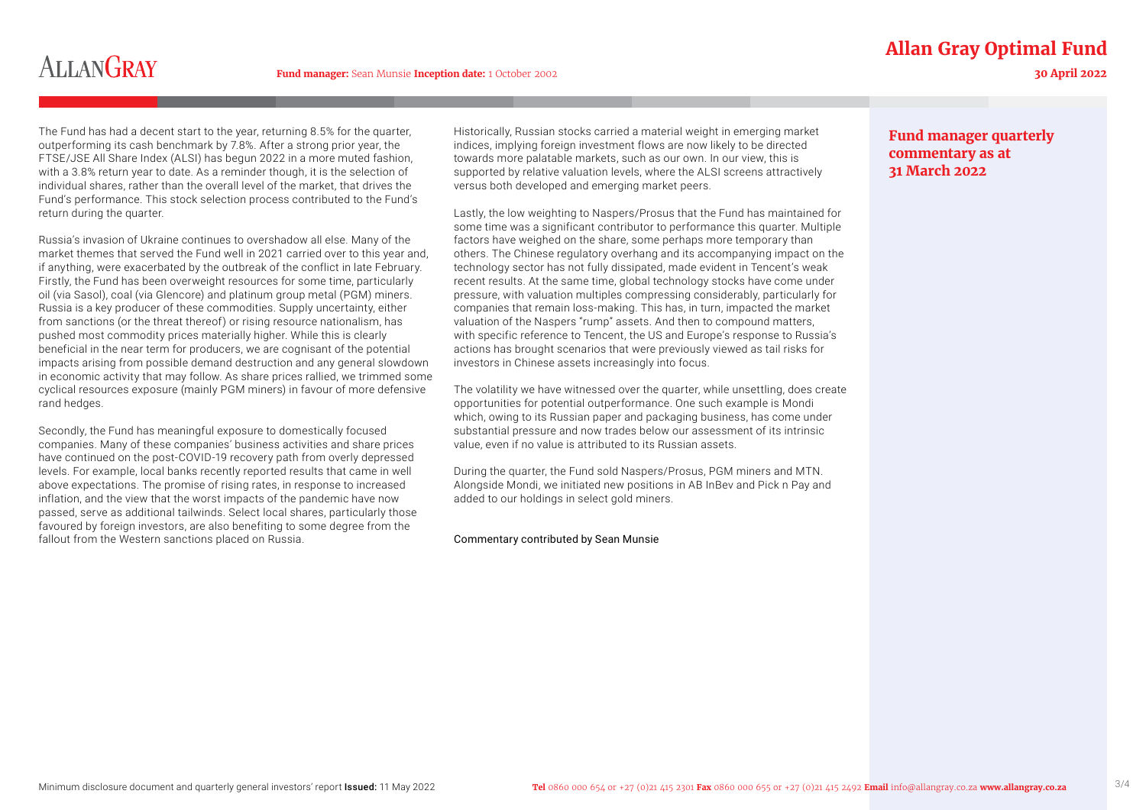### **Allan Gray Optimal Fund**

## **ALLANGRAY**

**30 April 2022**

The Fund has had a decent start to the year, returning 8.5% for the quarter, outperforming its cash benchmark by 7.8%. After a strong prior year, the FTSE/JSE All Share Index (ALSI) has begun 2022 in a more muted fashion, with a 3.8% return year to date. As a reminder though, it is the selection of individual shares, rather than the overall level of the market, that drives the Fund's performance. This stock selection process contributed to the Fund's return during the quarter.

Russia's invasion of Ukraine continues to overshadow all else. Many of the market themes that served the Fund well in 2021 carried over to this year and, if anything, were exacerbated by the outbreak of the conflict in late February. Firstly, the Fund has been overweight resources for some time, particularly oil (via Sasol), coal (via Glencore) and platinum group metal (PGM) miners. Russia is a key producer of these commodities. Supply uncertainty, either from sanctions (or the threat thereof) or rising resource nationalism, has pushed most commodity prices materially higher. While this is clearly beneficial in the near term for producers, we are cognisant of the potential impacts arising from possible demand destruction and any general slowdown in economic activity that may follow. As share prices rallied, we trimmed some cyclical resources exposure (mainly PGM miners) in favour of more defensive rand hedges.

Secondly, the Fund has meaningful exposure to domestically focused companies. Many of these companies' business activities and share prices have continued on the post-COVID-19 recovery path from overly depressed levels. For example, local banks recently reported results that came in well above expectations. The promise of rising rates, in response to increased inflation, and the view that the worst impacts of the pandemic have now passed, serve as additional tailwinds. Select local shares, particularly those favoured by foreign investors, are also benefiting to some degree from the fallout from the Western sanctions placed on Russia.

Historically, Russian stocks carried a material weight in emerging market indices, implying foreign investment flows are now likely to be directed towards more palatable markets, such as our own. In our view, this is supported by relative valuation levels, where the ALSI screens attractively versus both developed and emerging market peers.

Lastly, the low weighting to Naspers/Prosus that the Fund has maintained for some time was a significant contributor to performance this quarter. Multiple factors have weighed on the share, some perhaps more temporary than others. The Chinese regulatory overhang and its accompanying impact on the technology sector has not fully dissipated, made evident in Tencent's weak recent results. At the same time, global technology stocks have come under pressure, with valuation multiples compressing considerably, particularly for companies that remain loss-making. This has, in turn, impacted the market valuation of the Naspers "rump" assets. And then to compound matters, with specific reference to Tencent, the US and Europe's response to Russia's actions has brought scenarios that were previously viewed as tail risks for investors in Chinese assets increasingly into focus.

The volatility we have witnessed over the quarter, while unsettling, does create opportunities for potential outperformance. One such example is Mondi which, owing to its Russian paper and packaging business, has come under substantial pressure and now trades below our assessment of its intrinsic value, even if no value is attributed to its Russian assets.

During the quarter, the Fund sold Naspers/Prosus, PGM miners and MTN. Alongside Mondi, we initiated new positions in AB InBev and Pick n Pay and added to our holdings in select gold miners.

#### Commentary contributed by Sean Munsie

#### **Fund manager quarterly commentary as at 31 March 2022**